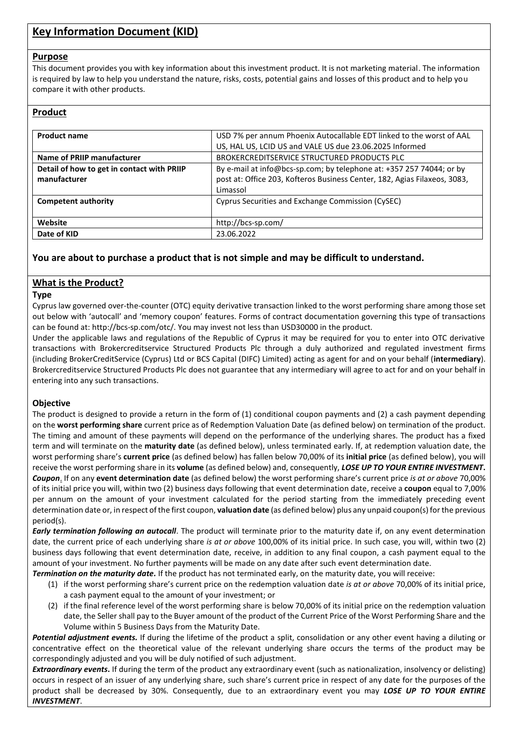# **Key Information Document (KID)**

#### **Purpose**

This document provides you with key information about this investment product. It is not marketing material. The information is required by law to help you understand the nature, risks, costs, potential gains and losses of this product and to help you compare it with other products.

### **Product**

| <b>Product name</b>                        | USD 7% per annum Phoenix Autocallable EDT linked to the worst of AAL      |  |  |
|--------------------------------------------|---------------------------------------------------------------------------|--|--|
|                                            | US, HAL US, LCID US and VALE US due 23.06.2025 Informed                   |  |  |
| Name of PRIIP manufacturer                 | BROKERCREDITSERVICE STRUCTURED PRODUCTS PLC                               |  |  |
| Detail of how to get in contact with PRIIP | By e-mail at info@bcs-sp.com; by telephone at: +357 257 74044; or by      |  |  |
| manufacturer                               | post at: Office 203, Kofteros Business Center, 182, Agias Filaxeos, 3083, |  |  |
|                                            | Limassol                                                                  |  |  |
| <b>Competent authority</b>                 | Cyprus Securities and Exchange Commission (CySEC)                         |  |  |
|                                            |                                                                           |  |  |
| Website                                    | http://bcs-sp.com/                                                        |  |  |
| Date of KID                                | 23.06.2022                                                                |  |  |

### **You are about to purchase a product that is not simple and may be difficult to understand.**

### **What is the Product?**

#### **Type**

Cyprus law governed over-the-counter (OTC) equity derivative transaction linked to the worst performing share among those set out below with 'autocall' and 'memory coupon' features. Forms of contract documentation governing this type of transactions can be found at: http://bcs-sp.com/otc/. You may invest not less than USD30000 in the product.

Under the applicable laws and regulations of the Republic of Cyprus it may be required for you to enter into OTC derivative transactions with Brokercreditservice Structured Products Plc through a duly authorized and regulated investment firms (including BrokerCreditService (Cyprus) Ltd or BCS Capital (DIFC) Limited) acting as agent for and on your behalf (**intermediary**). Brokercreditservice Structured Products Plc does not guarantee that any intermediary will agree to act for and on your behalf in entering into any such transactions.

#### **Objective**

The product is designed to provide a return in the form of (1) conditional coupon payments and (2) a cash payment depending on the **worst performing share** current price as of Redemption Valuation Date (as defined below) on termination of the product. The timing and amount of these payments will depend on the performance of the underlying shares. The product has a fixed term and will terminate on the **maturity date** (as defined below), unless terminated early. If, at redemption valuation date, the worst performing share's **current price** (as defined below) has fallen below 70,00% of its **initial price** (as defined below), you will receive the worst performing share in its **volume** (as defined below) and, consequently, *LOSE UP TO YOUR ENTIRE INVESTMENT***.** *Coupon*. If on any **event determination date** (as defined below) the worst performing share's current price *is at or above* 70,00% of its initial price you will, within two (2) business days following that event determination date, receive a **coupon** equal to 7,00% per annum on the amount of your investment calculated for the period starting from the immediately preceding event determination date or, in respect of the first coupon, **valuation date** (as defined below) plus any unpaid coupon(s) for the previous period(s).

*Early termination following an autocall*. The product will terminate prior to the maturity date if, on any event determination date, the current price of each underlying share *is at or above* 100,00% of its initial price. In such case, you will, within two (2) business days following that event determination date, receive, in addition to any final coupon, a cash payment equal to the amount of your investment. No further payments will be made on any date after such event determination date.

*Termination on the maturity date.* If the product has not terminated early, on the maturity date, you will receive:

- (1) if the worst performing share's current price on the redemption valuation date *is at or above* 70,00% of its initial price, a cash payment equal to the amount of your investment; or
- (2) if the final reference level of the worst performing share is below 70,00% of its initial price on the redemption valuation date, the Seller shall pay to the Buyer amount of the product of the Current Price of the Worst Performing Share and the Volume within 5 Business Days from the Maturity Date.

*Potential adjustment events.* If during the lifetime of the product a split, consolidation or any other event having a diluting or concentrative effect on the theoretical value of the relevant underlying share occurs the terms of the product may be correspondingly adjusted and you will be duly notified of such adjustment.

*Extraordinary events***.** If during the term of the product any extraordinary event (such as nationalization, insolvency or delisting) occurs in respect of an issuer of any underlying share, such share's current price in respect of any date for the purposes of the product shall be decreased by 30%. Consequently, due to an extraordinary event you may *LOSE UP TO YOUR ENTIRE INVESTMENT*.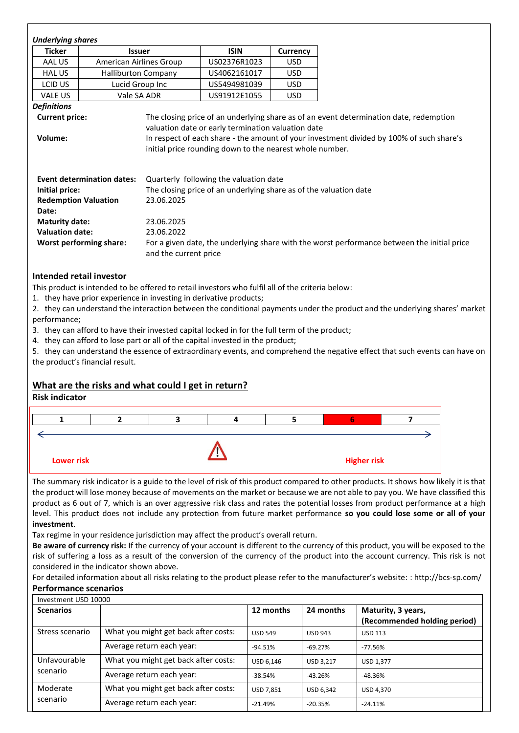| <b>Ticker</b>                                       | <b>Issuer</b>                  |                                                                   | <b>ISIN</b>                                                                                                                                          | Currency   |
|-----------------------------------------------------|--------------------------------|-------------------------------------------------------------------|------------------------------------------------------------------------------------------------------------------------------------------------------|------------|
| AAL US                                              | American Airlines Group        |                                                                   | US02376R1023                                                                                                                                         | <b>USD</b> |
| <b>HAL US</b>                                       | <b>Halliburton Company</b>     |                                                                   | US4062161017                                                                                                                                         | <b>USD</b> |
| LCID US                                             | Lucid Group Inc                |                                                                   | US5494981039                                                                                                                                         | <b>USD</b> |
| VALE US                                             | Vale SA ADR                    |                                                                   | US91912E1055                                                                                                                                         | <b>USD</b> |
| <b>Definitions</b>                                  |                                |                                                                   |                                                                                                                                                      |            |
| Volume:                                             |                                |                                                                   | In respect of each share - the amount of your investment divided by 100% of such share's<br>initial price rounding down to the nearest whole number. |            |
|                                                     |                                |                                                                   | Quarterly following the valuation date                                                                                                               |            |
| <b>Event determination dates:</b><br>Initial price: |                                | The closing price of an underlying share as of the valuation date |                                                                                                                                                      |            |
| <b>Redemption Valuation</b>                         |                                | 23.06.2025                                                        |                                                                                                                                                      |            |
| Date:                                               |                                |                                                                   |                                                                                                                                                      |            |
| 23.06.2025<br><b>Maturity date:</b>                 |                                |                                                                   |                                                                                                                                                      |            |
| <b>Valuation date:</b><br>23.06.2022                |                                |                                                                   |                                                                                                                                                      |            |
|                                                     | <b>Worst performing share:</b> | and the current price                                             | For a given date, the underlying share with the worst performance between the initial price                                                          |            |

This product is intended to be offered to retail investors who fulfil all of the criteria below:

1. they have prior experience in investing in derivative products;

2. they can understand the interaction between the conditional payments under the product and the underlying shares' market performance;

3. they can afford to have their invested capital locked in for the full term of the product;

4. they can afford to lose part or all of the capital invested in the product;

5. they can understand the essence of extraordinary events, and comprehend the negative effect that such events can have on the product's financial result.

## **What are the risks and what could I get in return?**

### **Risk indicator**



The summary risk indicator is a guide to the level of risk of this product compared to other products. It shows how likely it is that the product will lose money because of movements on the market or because we are not able to pay you. We have classified this product as 6 out of 7, which is an over aggressive risk class and rates the potential losses from product performance at a high level. This product does not include any protection from future market performance **so you could lose some or all of your investment**.

Tax regime in your residence jurisdiction may affect the product's overall return.

**Be aware of currency risk:** If the currency of your account is different to the currency of this product, you will be exposed to the risk of suffering a loss as a result of the conversion of the currency of the product into the account currency. This risk is not considered in the indicator shown above.

For detailed information about all risks relating to the product please refer to the manufacturer's website: : http://bcs-sp.com/ **Performance scenarios**

| Investment USD 10000     |                                      |                |                  |                                                    |
|--------------------------|--------------------------------------|----------------|------------------|----------------------------------------------------|
| <b>Scenarios</b>         |                                      | 12 months      | 24 months        | Maturity, 3 years,<br>(Recommended holding period) |
| Stress scenario          | What you might get back after costs: | <b>USD 549</b> | <b>USD 943</b>   | <b>USD 113</b>                                     |
|                          | Average return each year:            | $-94.51%$      | -69.27%          | $-77.56%$                                          |
| Unfavourable<br>scenario | What you might get back after costs: | USD 6.146      | <b>USD 3.217</b> | <b>USD 1.377</b>                                   |
|                          | Average return each year:            | $-38.54%$      | $-43.26%$        | $-48.36%$                                          |
| Moderate                 | What you might get back after costs: | USD 7,851      | <b>USD 6.342</b> | <b>USD 4.370</b>                                   |
| scenario                 | Average return each year:            | $-21.49%$      | $-20.35%$        | $-24.11%$                                          |